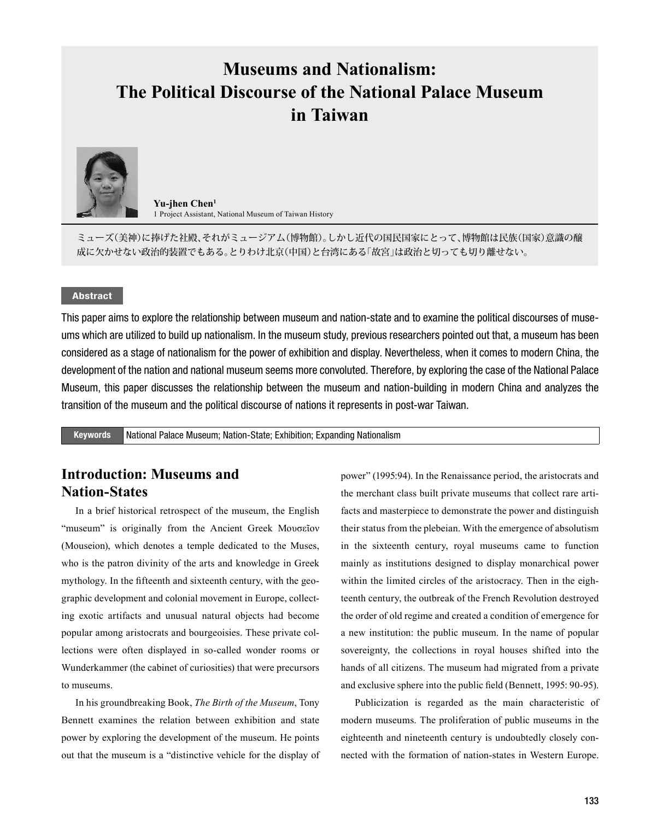# **Museums and Nationalism: The Political Discourse of the National Palace Museum in Taiwan**



**Yu-jhen Chen<sup>1</sup>** 1 Project Assistant, National Museum of Taiwan History

ミューズ(美神)に捧げた社殿、それがミュージアム(博物館)。しかし近代の国民国家にとって、博物館は民族(国家)意識の醸 成に欠かせない政治的装置でもある。とりわけ北京(中国)と台湾にある「故宮」は政治と切っても切り離せない。

#### Abstract

This paper aims to explore the relationship between museum and nation-state and to examine the political discourses of museums which are utilized to build up nationalism. In the museum study, previous researchers pointed out that, a museum has been considered as a stage of nationalism for the power of exhibition and display. Nevertheless, when it comes to modern China, the development of the nation and national museum seems more convoluted. Therefore, by exploring the case of the National Palace Museum, this paper discusses the relationship between the museum and nation-building in modern China and analyzes the transition of the museum and the political discourse of nations it represents in post-war Taiwan.

Keywords National Palace Museum; Nation-State; Exhibition; Expanding Nationalism

# **Introduction: Museums and Nation-States**

In a brief historical retrospect of the museum, the English "museum" is originally from the Ancient Greek Μουσεῖον (Mouseion), which denotes a temple dedicated to the Muses, who is the patron divinity of the arts and knowledge in Greek mythology. In the fifteenth and sixteenth century, with the geographic development and colonial movement in Europe, collecting exotic artifacts and unusual natural objects had become popular among aristocrats and bourgeoisies. These private collections were often displayed in so-called wonder rooms or Wunderkammer (the cabinet of curiosities) that were precursors to museums.

In his groundbreaking Book, *The Birth of the Museum*, Tony Bennett examines the relation between exhibition and state power by exploring the development of the museum. He points out that the museum is a "distinctive vehicle for the display of power" (1995:94). In the Renaissance period, the aristocrats and the merchant class built private museums that collect rare artifacts and masterpiece to demonstrate the power and distinguish their status from the plebeian. With the emergence of absolutism in the sixteenth century, royal museums came to function mainly as institutions designed to display monarchical power within the limited circles of the aristocracy. Then in the eighteenth century, the outbreak of the French Revolution destroyed the order of old regime and created a condition of emergence for a new institution: the public museum. In the name of popular sovereignty, the collections in royal houses shifted into the hands of all citizens. The museum had migrated from a private and exclusive sphere into the public field (Bennett, 1995: 90-95).

Publicization is regarded as the main characteristic of modern museums. The proliferation of public museums in the eighteenth and nineteenth century is undoubtedly closely connected with the formation of nation-states in Western Europe.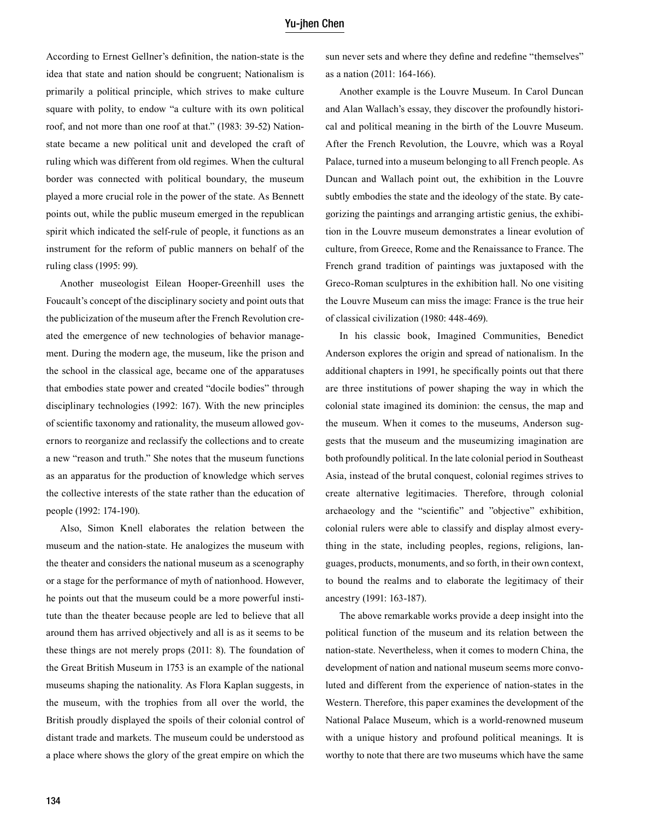#### Yu-jhen Chen

According to Ernest Gellner's definition, the nation-state is the idea that state and nation should be congruent; Nationalism is primarily a political principle, which strives to make culture square with polity, to endow "a culture with its own political roof, and not more than one roof at that." (1983: 39-52) Nationstate became a new political unit and developed the craft of ruling which was different from old regimes. When the cultural border was connected with political boundary, the museum played a more crucial role in the power of the state. As Bennett points out, while the public museum emerged in the republican spirit which indicated the self-rule of people, it functions as an instrument for the reform of public manners on behalf of the ruling class (1995: 99).

Another museologist Eilean Hooper-Greenhill uses the Foucault's concept of the disciplinary society and point outs that the publicization of the museum after the French Revolution created the emergence of new technologies of behavior management. During the modern age, the museum, like the prison and the school in the classical age, became one of the apparatuses that embodies state power and created "docile bodies" through disciplinary technologies (1992: 167). With the new principles of scientific taxonomy and rationality, the museum allowed governors to reorganize and reclassify the collections and to create a new "reason and truth." She notes that the museum functions as an apparatus for the production of knowledge which serves the collective interests of the state rather than the education of people (1992: 174-190).

Also, Simon Knell elaborates the relation between the museum and the nation-state. He analogizes the museum with the theater and considers the national museum as a scenography or a stage for the performance of myth of nationhood. However, he points out that the museum could be a more powerful institute than the theater because people are led to believe that all around them has arrived objectively and all is as it seems to be these things are not merely props (2011: 8). The foundation of the Great British Museum in 1753 is an example of the national museums shaping the nationality. As Flora Kaplan suggests, in the museum, with the trophies from all over the world, the British proudly displayed the spoils of their colonial control of distant trade and markets. The museum could be understood as a place where shows the glory of the great empire on which the

sun never sets and where they define and redefine "themselves" as a nation (2011: 164-166).

Another example is the Louvre Museum. In Carol Duncan and Alan Wallach's essay, they discover the profoundly historical and political meaning in the birth of the Louvre Museum. After the French Revolution, the Louvre, which was a Royal Palace, turned into a museum belonging to all French people. As Duncan and Wallach point out, the exhibition in the Louvre subtly embodies the state and the ideology of the state. By categorizing the paintings and arranging artistic genius, the exhibition in the Louvre museum demonstrates a linear evolution of culture, from Greece, Rome and the Renaissance to France. The French grand tradition of paintings was juxtaposed with the Greco-Roman sculptures in the exhibition hall. No one visiting the Louvre Museum can miss the image: France is the true heir of classical civilization (1980: 448-469).

In his classic book, Imagined Communities, Benedict Anderson explores the origin and spread of nationalism. In the additional chapters in 1991, he specifically points out that there are three institutions of power shaping the way in which the colonial state imagined its dominion: the census, the map and the museum. When it comes to the museums, Anderson suggests that the museum and the museumizing imagination are both profoundly political. In the late colonial period in Southeast Asia, instead of the brutal conquest, colonial regimes strives to create alternative legitimacies. Therefore, through colonial archaeology and the "scientific" and "objective" exhibition, colonial rulers were able to classify and display almost everything in the state, including peoples, regions, religions, languages, products, monuments, and so forth, in their own context, to bound the realms and to elaborate the legitimacy of their ancestry (1991: 163-187).

The above remarkable works provide a deep insight into the political function of the museum and its relation between the nation-state. Nevertheless, when it comes to modern China, the development of nation and national museum seems more convoluted and different from the experience of nation-states in the Western. Therefore, this paper examines the development of the National Palace Museum, which is a world-renowned museum with a unique history and profound political meanings. It is worthy to note that there are two museums which have the same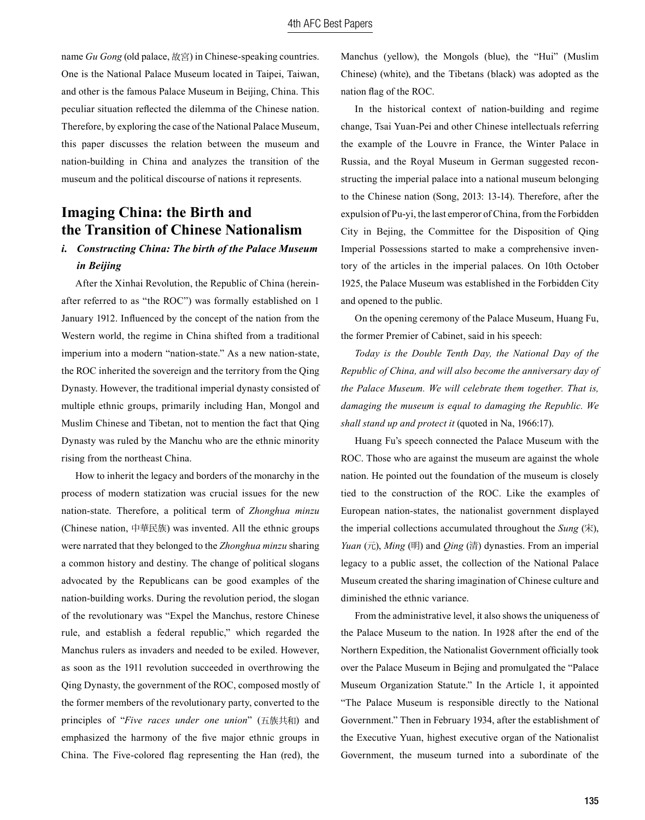name *Gu Gong* (old palace, 故宮) in Chinese-speaking countries. One is the National Palace Museum located in Taipei, Taiwan, and other is the famous Palace Museum in Beijing, China. This peculiar situation reflected the dilemma of the Chinese nation. Therefore, by exploring the case of the National Palace Museum, this paper discusses the relation between the museum and nation-building in China and analyzes the transition of the museum and the political discourse of nations it represents.

# **Imaging China: the Birth and the Transition of Chinese Nationalism**

## *i. Constructing China: The birth of the Palace Museum in Beijing*

After the Xinhai Revolution, the Republic of China (hereinafter referred to as "the ROC") was formally established on 1 January 1912. Influenced by the concept of the nation from the Western world, the regime in China shifted from a traditional imperium into a modern "nation-state." As a new nation-state, the ROC inherited the sovereign and the territory from the Qing Dynasty. However, the traditional imperial dynasty consisted of multiple ethnic groups, primarily including Han, Mongol and Muslim Chinese and Tibetan, not to mention the fact that Qing Dynasty was ruled by the Manchu who are the ethnic minority rising from the northeast China.

How to inherit the legacy and borders of the monarchy in the process of modern statization was crucial issues for the new nation-state. Therefore, a political term of *Zhonghua minzu* (Chinese nation, 中華民族) was invented. All the ethnic groups were narrated that they belonged to the *Zhonghua minzu* sharing a common history and destiny. The change of political slogans advocated by the Republicans can be good examples of the nation-building works. During the revolution period, the slogan of the revolutionary was "Expel the Manchus, restore Chinese rule, and establish a federal republic," which regarded the Manchus rulers as invaders and needed to be exiled. However, as soon as the 1911 revolution succeeded in overthrowing the Qing Dynasty, the government of the ROC, composed mostly of the former members of the revolutionary party, converted to the principles of "*Five races under one union*" (五族共和) and emphasized the harmony of the five major ethnic groups in China. The Five-colored flag representing the Han (red), the

Manchus (yellow), the Mongols (blue), the "Hui" (Muslim Chinese) (white), and the Tibetans (black) was adopted as the nation flag of the ROC.

In the historical context of nation-building and regime change, Tsai Yuan-Pei and other Chinese intellectuals referring the example of the Louvre in France, the Winter Palace in Russia, and the Royal Museum in German suggested reconstructing the imperial palace into a national museum belonging to the Chinese nation (Song, 2013: 13-14). Therefore, after the expulsion of Pu-yi, the last emperor of China, from the Forbidden City in Bejing, the Committee for the Disposition of Qing Imperial Possessions started to make a comprehensive inventory of the articles in the imperial palaces. On 10th October 1925, the Palace Museum was established in the Forbidden City and opened to the public.

On the opening ceremony of the Palace Museum, Huang Fu, the former Premier of Cabinet, said in his speech:

*Today is the Double Tenth Day, the National Day of the Republic of China, and will also become the anniversary day of the Palace Museum. We will celebrate them together. That is, damaging the museum is equal to damaging the Republic. We shall stand up and protect it* (quoted in Na, 1966:17).

Huang Fu's speech connected the Palace Museum with the ROC. Those who are against the museum are against the whole nation. He pointed out the foundation of the museum is closely tied to the construction of the ROC. Like the examples of European nation-states, the nationalist government displayed the imperial collections accumulated throughout the *Sung* (宋), *Yuan* (元), *Ming* (明) and *Qing* (清) dynasties. From an imperial legacy to a public asset, the collection of the National Palace Museum created the sharing imagination of Chinese culture and diminished the ethnic variance.

From the administrative level, it also shows the uniqueness of the Palace Museum to the nation. In 1928 after the end of the Northern Expedition, the Nationalist Government officially took over the Palace Museum in Bejing and promulgated the "Palace Museum Organization Statute." In the Article 1, it appointed "The Palace Museum is responsible directly to the National Government." Then in February 1934, after the establishment of the Executive Yuan, highest executive organ of the Nationalist Government, the museum turned into a subordinate of the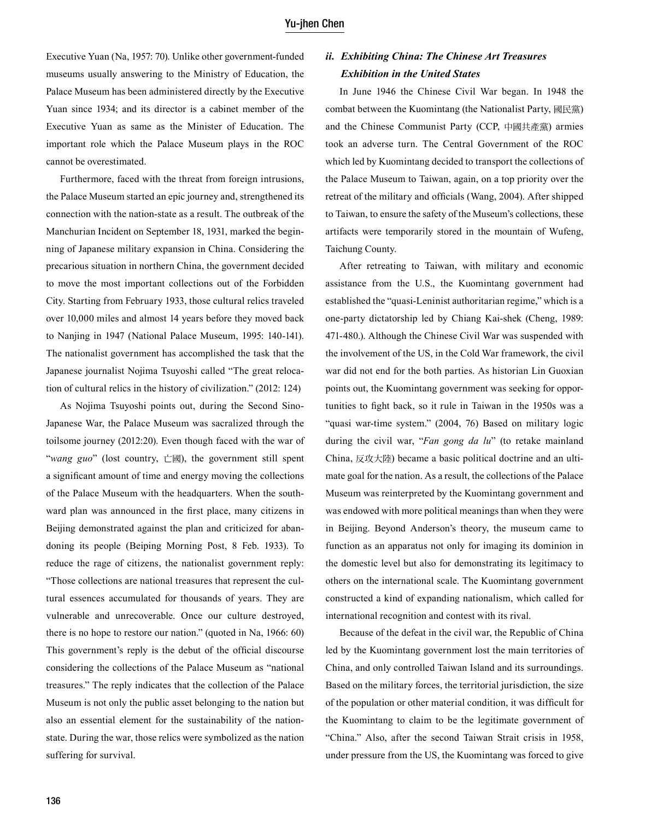Executive Yuan (Na, 1957: 70). Unlike other government-funded museums usually answering to the Ministry of Education, the Palace Museum has been administered directly by the Executive Yuan since 1934; and its director is a cabinet member of the Executive Yuan as same as the Minister of Education. The important role which the Palace Museum plays in the ROC cannot be overestimated.

Furthermore, faced with the threat from foreign intrusions, the Palace Museum started an epic journey and, strengthened its connection with the nation-state as a result. The outbreak of the Manchurian Incident on September 18, 1931, marked the beginning of Japanese military expansion in China. Considering the precarious situation in northern China, the government decided to move the most important collections out of the Forbidden City. Starting from February 1933, those cultural relics traveled over 10,000 miles and almost 14 years before they moved back to Nanjing in 1947 (National Palace Museum, 1995: 140-141). The nationalist government has accomplished the task that the Japanese journalist Nojima Tsuyoshi called "The great relocation of cultural relics in the history of civilization." (2012: 124)

As Nojima Tsuyoshi points out, during the Second Sino-Japanese War, the Palace Museum was sacralized through the toilsome journey (2012:20). Even though faced with the war of "*wang guo*" (lost country, 亡國), the government still spent a significant amount of time and energy moving the collections of the Palace Museum with the headquarters. When the southward plan was announced in the first place, many citizens in Beijing demonstrated against the plan and criticized for abandoning its people (Beiping Morning Post, 8 Feb. 1933). To reduce the rage of citizens, the nationalist government reply: "Those collections are national treasures that represent the cultural essences accumulated for thousands of years. They are vulnerable and unrecoverable. Once our culture destroyed, there is no hope to restore our nation." (quoted in Na, 1966: 60) This government's reply is the debut of the official discourse considering the collections of the Palace Museum as "national treasures." The reply indicates that the collection of the Palace Museum is not only the public asset belonging to the nation but also an essential element for the sustainability of the nationstate. During the war, those relics were symbolized as the nation suffering for survival.

## *ii. Exhibiting China: The Chinese Art Treasures Exhibition in the United States*

In June 1946 the Chinese Civil War began. In 1948 the combat between the Kuomintang (the Nationalist Party, 國民黨) and the Chinese Communist Party (CCP, 中國共產黨) armies took an adverse turn. The Central Government of the ROC which led by Kuomintang decided to transport the collections of the Palace Museum to Taiwan, again, on a top priority over the retreat of the military and officials (Wang, 2004). After shipped to Taiwan, to ensure the safety of the Museum's collections, these artifacts were temporarily stored in the mountain of Wufeng, Taichung County.

After retreating to Taiwan, with military and economic assistance from the U.S., the Kuomintang government had established the "quasi-Leninist authoritarian regime," which is a one-party dictatorship led by Chiang Kai-shek (Cheng, 1989: 471-480.). Although the Chinese Civil War was suspended with the involvement of the US, in the Cold War framework, the civil war did not end for the both parties. As historian Lin Guoxian points out, the Kuomintang government was seeking for opportunities to fight back, so it rule in Taiwan in the 1950s was a "quasi war-time system." (2004, 76) Based on military logic during the civil war, "*Fan gong da lu*" (to retake mainland China, 反攻大陸) became a basic political doctrine and an ultimate goal for the nation. As a result, the collections of the Palace Museum was reinterpreted by the Kuomintang government and was endowed with more political meanings than when they were in Beijing. Beyond Anderson's theory, the museum came to function as an apparatus not only for imaging its dominion in the domestic level but also for demonstrating its legitimacy to others on the international scale. The Kuomintang government constructed a kind of expanding nationalism, which called for international recognition and contest with its rival.

Because of the defeat in the civil war, the Republic of China led by the Kuomintang government lost the main territories of China, and only controlled Taiwan Island and its surroundings. Based on the military forces, the territorial jurisdiction, the size of the population or other material condition, it was difficult for the Kuomintang to claim to be the legitimate government of "China." Also, after the second Taiwan Strait crisis in 1958, under pressure from the US, the Kuomintang was forced to give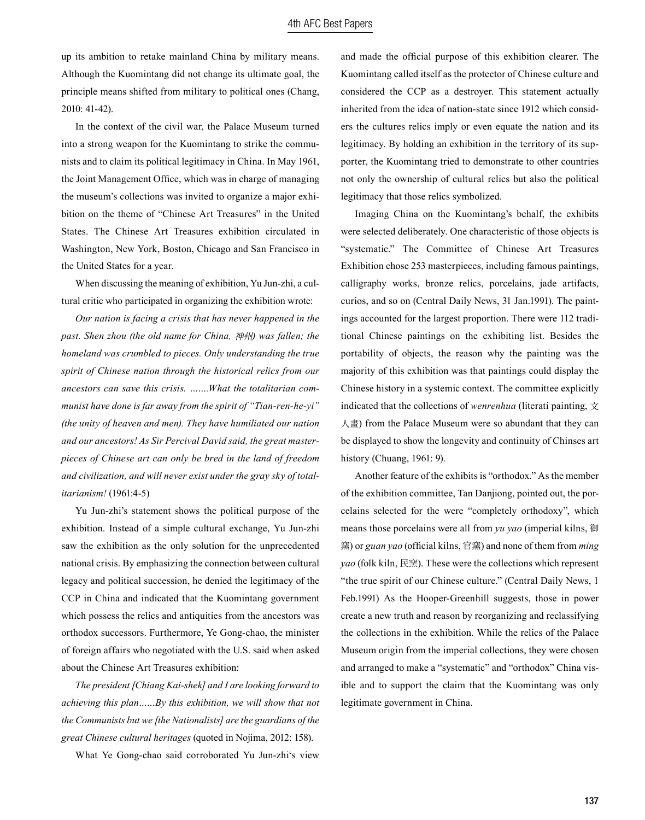up its ambition to retake mainland China by military means. Although the Kuomintang did not change its ultimate goal, the principle means shifted from military to political ones (Chang, 2010: 41-42).

In the context of the civil war, the Palace Museum turned into a strong weapon for the Kuomintang to strike the communists and to claim its political legitimacy in China. In May 1961, the Joint Management Office, which was in charge of managing the museum's collections was invited to organize a major exhibition on the theme of "Chinese Art Treasures" in the United States. The Chinese Art Treasures exhibition circulated in Washington, New York, Boston, Chicago and San Francisco in the United States for a year.

When discussing the meaning of exhibition, Yu Jun-zhi, a cultural critic who participated in organizing the exhibition wrote:

*Our nation is facing a crisis that has never happened in the past. Shen zhou (the old name for China,* 神州*) was fallen; the homeland was crumbled to pieces. Only understanding the true spirit of Chinese nation through the historical relics from our ancestors can save this crisis. …….What the totalitarian communist have done is far away from the spirit of "Tian-ren-he-yi" (the unity of heaven and men). They have humiliated our nation and our ancestors! As Sir Percival David said, the great masterpieces of Chinese art can only be bred in the land of freedom and civilization, and will never exist under the gray sky of totalitarianism!* (1961:4-5)

Yu Jun-zhi's statement shows the political purpose of the exhibition. Instead of a simple cultural exchange, Yu Jun-zhi saw the exhibition as the only solution for the unprecedented national crisis. By emphasizing the connection between cultural legacy and political succession, he denied the legitimacy of the CCP in China and indicated that the Kuomintang government which possess the relics and antiquities from the ancestors was orthodox successors. Furthermore, Ye Gong-chao, the minister of foreign affairs who negotiated with the U.S. said when asked about the Chinese Art Treasures exhibition:

*The president [Chiang Kai-shek] and I are looking forward to achieving this plan……By this exhibition, we will show that not the Communists but we [the Nationalists] are the guardians of the great Chinese cultural heritages* (quoted in Nojima, 2012: 158).

What Ye Gong-chao said corroborated Yu Jun-zhi's view

and made the official purpose of this exhibition clearer. The Kuomintang called itself as the protector of Chinese culture and considered the CCP as a destroyer. This statement actually inherited from the idea of nation-state since 1912 which considers the cultures relics imply or even equate the nation and its legitimacy. By holding an exhibition in the territory of its supporter, the Kuomintang tried to demonstrate to other countries not only the ownership of cultural relics but also the political legitimacy that those relics symbolized.

Imaging China on the Kuomintang's behalf, the exhibits were selected deliberately. One characteristic of those objects is "systematic." The Committee of Chinese Art Treasures Exhibition chose 253 masterpieces, including famous paintings, calligraphy works, bronze relics, porcelains, jade artifacts, curios, and so on (Central Daily News, 31 Jan.1991). The paintings accounted for the largest proportion. There were 112 traditional Chinese paintings on the exhibiting list. Besides the portability of objects, the reason why the painting was the majority of this exhibition was that paintings could display the Chinese history in a systemic context. The committee explicitly indicated that the collections of *wenrenhua* (literati painting,  $\forall$ 人畫) from the Palace Museum were so abundant that they can be displayed to show the longevity and continuity of Chinses art history (Chuang, 1961: 9).

Another feature of the exhibits is "orthodox." As the member of the exhibition committee, Tan Danjiong, pointed out, the porcelains selected for the were "completely orthodoxy", which means those porcelains were all from *yu yao* (imperial kilns, 御 窯) or *guan yao* (official kilns, 官窯) and none of them from *ming yao* (folk kiln, 民窯). These were the collections which represent "the true spirit of our Chinese culture." (Central Daily News, 1 Feb.1991) As the Hooper-Greenhill suggests, those in power create a new truth and reason by reorganizing and reclassifying the collections in the exhibition. While the relics of the Palace Museum origin from the imperial collections, they were chosen and arranged to make a "systematic" and "orthodox" China visible and to support the claim that the Kuomintang was only legitimate government in China.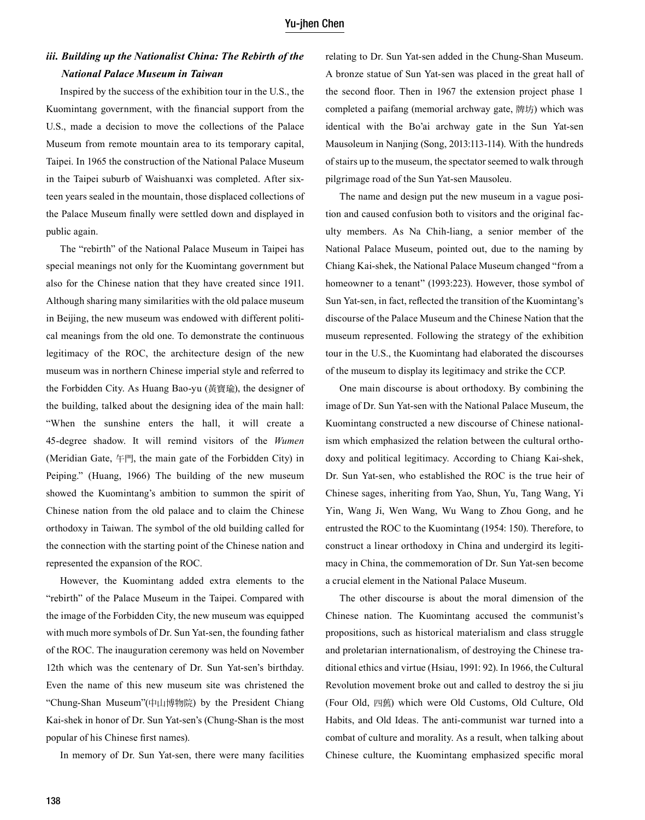## *iii. Building up the Nationalist China: The Rebirth of the National Palace Museum in Taiwan*

Inspired by the success of the exhibition tour in the U.S., the Kuomintang government, with the financial support from the U.S., made a decision to move the collections of the Palace Museum from remote mountain area to its temporary capital, Taipei. In 1965 the construction of the National Palace Museum in the Taipei suburb of Waishuanxi was completed. After sixteen years sealed in the mountain, those displaced collections of the Palace Museum finally were settled down and displayed in public again.

The "rebirth" of the National Palace Museum in Taipei has special meanings not only for the Kuomintang government but also for the Chinese nation that they have created since 1911. Although sharing many similarities with the old palace museum in Beijing, the new museum was endowed with different political meanings from the old one. To demonstrate the continuous legitimacy of the ROC, the architecture design of the new museum was in northern Chinese imperial style and referred to the Forbidden City. As Huang Bao-yu (黃寶瑜), the designer of the building, talked about the designing idea of the main hall: "When the sunshine enters the hall, it will create a 45-degree shadow. It will remind visitors of the *Wumen* (Meridian Gate, 午門, the main gate of the Forbidden City) in Peiping." (Huang, 1966) The building of the new museum showed the Kuomintang's ambition to summon the spirit of Chinese nation from the old palace and to claim the Chinese orthodoxy in Taiwan. The symbol of the old building called for the connection with the starting point of the Chinese nation and represented the expansion of the ROC.

However, the Kuomintang added extra elements to the "rebirth" of the Palace Museum in the Taipei. Compared with the image of the Forbidden City, the new museum was equipped with much more symbols of Dr. Sun Yat-sen, the founding father of the ROC. The inauguration ceremony was held on November 12th which was the centenary of Dr. Sun Yat-sen's birthday. Even the name of this new museum site was christened the "Chung-Shan Museum"(中山博物院) by the President Chiang Kai-shek in honor of Dr. Sun Yat-sen's (Chung-Shan is the most popular of his Chinese first names).

In memory of Dr. Sun Yat-sen, there were many facilities

relating to Dr. Sun Yat-sen added in the Chung-Shan Museum. A bronze statue of Sun Yat-sen was placed in the great hall of the second floor. Then in 1967 the extension project phase 1 completed a paifang (memorial archway gate, 牌坊) which was identical with the Bo'ai archway gate in the Sun Yat-sen Mausoleum in Nanjing (Song, 2013:113-114). With the hundreds of stairs up to the museum, the spectator seemed to walk through pilgrimage road of the Sun Yat-sen Mausoleu.

The name and design put the new museum in a vague position and caused confusion both to visitors and the original faculty members. As Na Chih-liang, a senior member of the National Palace Museum, pointed out, due to the naming by Chiang Kai-shek, the National Palace Museum changed "from a homeowner to a tenant" (1993:223). However, those symbol of Sun Yat-sen, in fact, reflected the transition of the Kuomintang's discourse of the Palace Museum and the Chinese Nation that the museum represented. Following the strategy of the exhibition tour in the U.S., the Kuomintang had elaborated the discourses of the museum to display its legitimacy and strike the CCP.

One main discourse is about orthodoxy. By combining the image of Dr. Sun Yat-sen with the National Palace Museum, the Kuomintang constructed a new discourse of Chinese nationalism which emphasized the relation between the cultural orthodoxy and political legitimacy. According to Chiang Kai-shek, Dr. Sun Yat-sen, who established the ROC is the true heir of Chinese sages, inheriting from Yao, Shun, Yu, Tang Wang, Yi Yin, Wang Ji, Wen Wang, Wu Wang to Zhou Gong, and he entrusted the ROC to the Kuomintang (1954: 150). Therefore, to construct a linear orthodoxy in China and undergird its legitimacy in China, the commemoration of Dr. Sun Yat-sen become a crucial element in the National Palace Museum.

The other discourse is about the moral dimension of the Chinese nation. The Kuomintang accused the communist's propositions, such as historical materialism and class struggle and proletarian internationalism, of destroying the Chinese traditional ethics and virtue (Hsiau, 1991: 92). In 1966, the Cultural Revolution movement broke out and called to destroy the si jiu (Four Old, 四舊) which were Old Customs, Old Culture, Old Habits, and Old Ideas. The anti-communist war turned into a combat of culture and morality. As a result, when talking about Chinese culture, the Kuomintang emphasized specific moral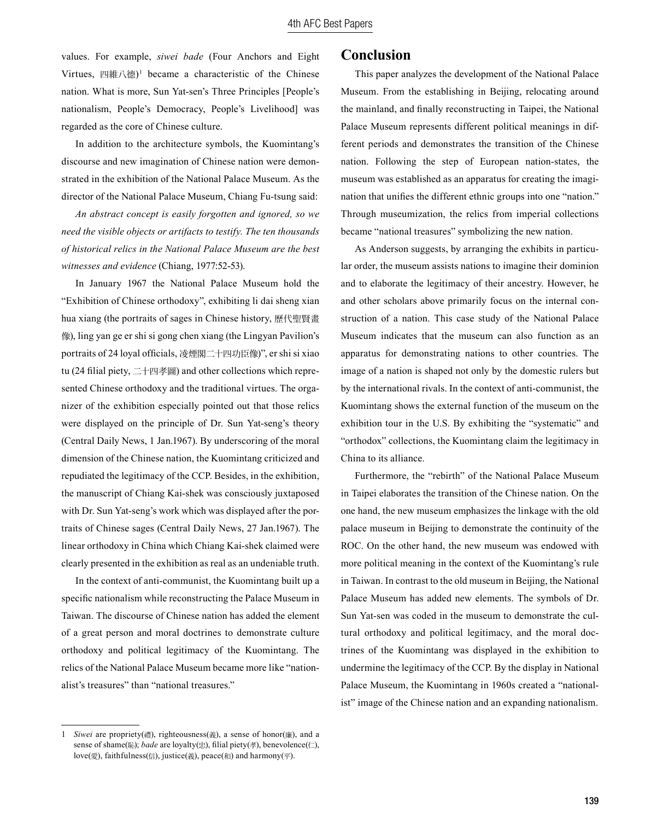values. For example, *siwei bade* (Four Anchors and Eight Virtues, 四維八德)1 became a characteristic of the Chinese nation. What is more, Sun Yat-sen's Three Principles [People's nationalism, People's Democracy, People's Livelihood] was regarded as the core of Chinese culture.

In addition to the architecture symbols, the Kuomintang's discourse and new imagination of Chinese nation were demonstrated in the exhibition of the National Palace Museum. As the director of the National Palace Museum, Chiang Fu-tsung said:

*An abstract concept is easily forgotten and ignored, so we need the visible objects or artifacts to testify. The ten thousands of historical relics in the National Palace Museum are the best witnesses and evidence* (Chiang, 1977:52-53).

In January 1967 the National Palace Museum hold the "Exhibition of Chinese orthodoxy", exhibiting li dai sheng xian hua xiang (the portraits of sages in Chinese history, 歷代聖賢畫 像), ling yan ge er shi si gong chen xiang (the Lingyan Pavilion's portraits of 24 loyal officials, 凌煙閣二十四功臣像)", er shi si xiao tu (24 filial piety, 二十四孝圖) and other collections which represented Chinese orthodoxy and the traditional virtues. The organizer of the exhibition especially pointed out that those relics were displayed on the principle of Dr. Sun Yat-seng's theory (Central Daily News, 1 Jan.1967). By underscoring of the moral dimension of the Chinese nation, the Kuomintang criticized and repudiated the legitimacy of the CCP. Besides, in the exhibition, the manuscript of Chiang Kai-shek was consciously juxtaposed with Dr. Sun Yat-seng's work which was displayed after the portraits of Chinese sages (Central Daily News, 27 Jan.1967). The linear orthodoxy in China which Chiang Kai-shek claimed were clearly presented in the exhibition as real as an undeniable truth.

In the context of anti-communist, the Kuomintang built up a specific nationalism while reconstructing the Palace Museum in Taiwan. The discourse of Chinese nation has added the element of a great person and moral doctrines to demonstrate culture orthodoxy and political legitimacy of the Kuomintang. The relics of the National Palace Museum became more like "nationalist's treasures" than "national treasures."

#### **Conclusion**

This paper analyzes the development of the National Palace Museum. From the establishing in Beijing, relocating around the mainland, and finally reconstructing in Taipei, the National Palace Museum represents different political meanings in different periods and demonstrates the transition of the Chinese nation. Following the step of European nation-states, the museum was established as an apparatus for creating the imagination that unifies the different ethnic groups into one "nation." Through museumization, the relics from imperial collections became "national treasures" symbolizing the new nation.

As Anderson suggests, by arranging the exhibits in particular order, the museum assists nations to imagine their dominion and to elaborate the legitimacy of their ancestry. However, he and other scholars above primarily focus on the internal construction of a nation. This case study of the National Palace Museum indicates that the museum can also function as an apparatus for demonstrating nations to other countries. The image of a nation is shaped not only by the domestic rulers but by the international rivals. In the context of anti-communist, the Kuomintang shows the external function of the museum on the exhibition tour in the U.S. By exhibiting the "systematic" and "orthodox" collections, the Kuomintang claim the legitimacy in China to its alliance.

Furthermore, the "rebirth" of the National Palace Museum in Taipei elaborates the transition of the Chinese nation. On the one hand, the new museum emphasizes the linkage with the old palace museum in Beijing to demonstrate the continuity of the ROC. On the other hand, the new museum was endowed with more political meaning in the context of the Kuomintang's rule in Taiwan. In contrast to the old museum in Beijing, the National Palace Museum has added new elements. The symbols of Dr. Sun Yat-sen was coded in the museum to demonstrate the cultural orthodoxy and political legitimacy, and the moral doctrines of the Kuomintang was displayed in the exhibition to undermine the legitimacy of the CCP. By the display in National Palace Museum, the Kuomintang in 1960s created a "nationalist" image of the Chinese nation and an expanding nationalism.

<sup>1</sup> *Siwei* are propriety(禮), righteousness(義), a sense of honor(廉), and a sense of shame(恥); *bade* are loyalty(忠), filial piety(孝), benevolence(仁), love(愛), faithfulness(信), justice(義), peace(和) and harmony(平).